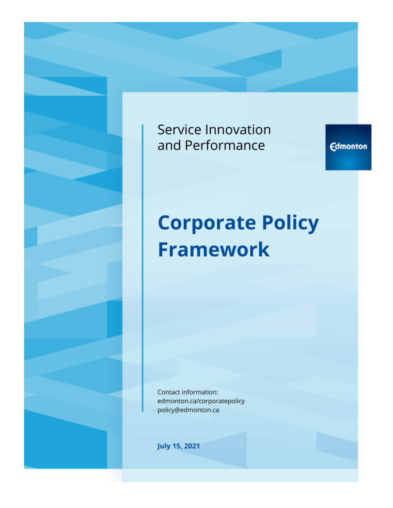# Service Innovation and Performance

**Edmonton** 

# **Corporate Policy Framework**

Contact information: edmonton.ca/corporatepolicy policy@edmonton.ca

**July 15, 2021**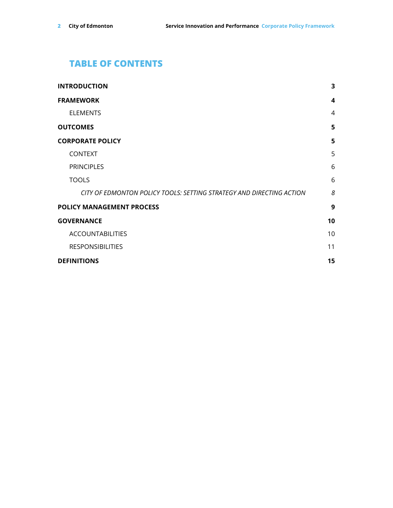# **TABLE OF CONTENTS**

| <b>INTRODUCTION</b>                                                  | 3              |
|----------------------------------------------------------------------|----------------|
| <b>FRAMEWORK</b>                                                     | 4              |
| <b>ELEMENTS</b>                                                      | $\overline{4}$ |
| <b>OUTCOMES</b>                                                      | 5              |
| <b>CORPORATE POLICY</b>                                              | 5              |
| <b>CONTEXT</b>                                                       | 5              |
| <b>PRINCIPLES</b>                                                    | 6              |
| <b>TOOLS</b>                                                         | 6              |
| CITY OF EDMONTON POLICY TOOLS: SETTING STRATEGY AND DIRECTING ACTION | 8              |
| <b>POLICY MANAGEMENT PROCESS</b>                                     | 9              |
| <b>GOVERNANCE</b>                                                    | 10             |
| <b>ACCOUNTABILITIES</b>                                              | 10             |
| <b>RESPONSIBILITIES</b>                                              | 11             |
| <b>DEFINITIONS</b>                                                   | 15             |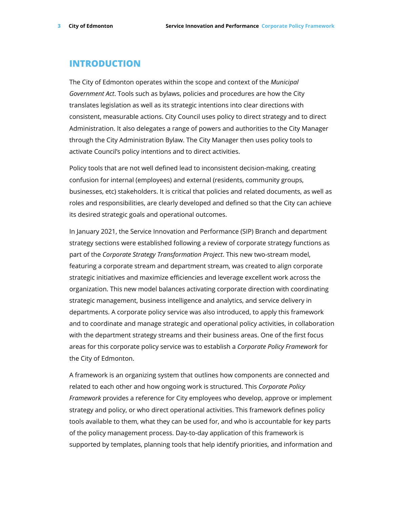#### <span id="page-2-0"></span>**INTRODUCTION**

The City of Edmonton operates within the scope and context of the *Municipal Government Act*. Tools such as bylaws, policies and procedures are how the City translates legislation as well as its strategic intentions into clear directions with consistent, measurable actions. City Council uses policy to direct strategy and to direct Administration. It also delegates a range of powers and authorities to the City Manager through the City Administration Bylaw. The City Manager then uses policy tools to activate Council's policy intentions and to direct activities.

Policy tools that are not well defined lead to inconsistent decision-making, creating confusion for internal (employees) and external (residents, community groups, businesses, etc) stakeholders. It is critical that policies and related documents, as well as roles and responsibilities, are clearly developed and defined so that the City can achieve its desired strategic goals and operational outcomes.

In January 2021, the Service Innovation and Performance (SIP) Branch and department strategy sections were established following a review of corporate strategy functions as part of the *Corporate Strategy Transformation Project*. This new two-stream model, featuring a corporate stream and department stream, was created to align corporate strategic initiatives and maximize efficiencies and leverage excellent work across the organization. This new model balances activating corporate direction with coordinating strategic management, business intelligence and analytics, and service delivery in departments. A corporate policy service was also introduced, to apply this framework and to coordinate and manage strategic and operational policy activities, in collaboration with the department strategy streams and their business areas. One of the first focus areas for this corporate policy service was to establish a *Corporate Policy Framework* for the City of Edmonton.

A framework is an organizing system that outlines how components are connected and related to each other and how ongoing work is structured. This *Corporate Policy Framework* provides a reference for City employees who develop, approve or implement strategy and policy, or who direct operational activities. This framework defines policy tools available to them, what they can be used for, and who is accountable for key parts of the policy management process. Day-to-day application of this framework is supported by templates, planning tools that help identify priorities, and information and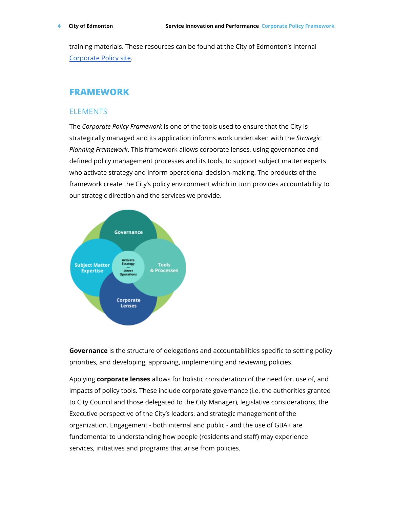training materials. These resources can be found at the City of Edmonton's internal [Corporate](https://portal-onecity.edmonton.ca/safety_operating/policies-directives) Policy site.

#### <span id="page-3-0"></span>**FRAMEWORK**

#### <span id="page-3-1"></span>**ELEMENTS**

The *Corporate Policy Framework* is one of the tools used to ensure that the City is strategically managed and its application informs work undertaken with the *Strategic Planning Framework*. This framework allows corporate lenses, using governance and defined policy management processes and its tools, to support subject matter experts who activate strategy and inform operational decision-making. The products of the framework create the City's policy environment which in turn provides accountability to our strategic direction and the services we provide.



**Governance** is the structure of delegations and accountabilities specific to setting policy priorities, and developing, approving, implementing and reviewing policies.

Applying **corporate lenses** allows for holistic consideration of the need for, use of, and impacts of policy tools. These include corporate governance (i.e. the authorities granted to City Council and those delegated to the City Manager), legislative considerations, the Executive perspective of the City's leaders, and strategic management of the organization. Engagement - both internal and public - and the use of GBA+ are fundamental to understanding how people (residents and staff) may experience services, initiatives and programs that arise from policies.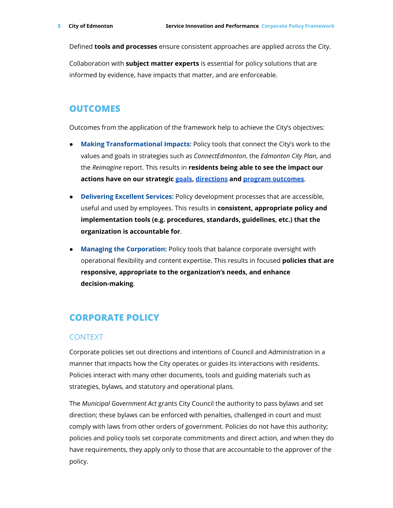Defined **tools and processes** ensure consistent approaches are applied across the City.

Collaboration with **subject matter experts** is essential for policy solutions that are informed by evidence, have impacts that matter, and are enforceable.

### <span id="page-4-0"></span>**OUTCOMES**

Outcomes from the application of the framework help to achieve the City's objectives:

- **Making Transformational Impacts:** Policy tools that connect the City's work to the values and goals in strategies such as *ConnectEdmonton*, the *Edmonton City Plan*, and the *Reimagine* report. This results in **residents being able to see the impact our actions have on our strategic [goals](https://www.edmonton.ca/city_government/documents/ConnectEdmonton_Book_Web.pdf), [directions](https://www.edmonton.ca/city_government/documents/PDF/City_Plan_FINAL.pdf) and program [outcomes](https://www.edmonton.ca/city_government/documents/Corporate_Business_Plan_2019-2022-20210506.pdf)**.
- **Delivering Excellent Services:** Policy development processes that are accessible, useful and used by employees. This results in **consistent, appropriate policy and implementation tools (e.g. procedures, standards, guidelines, etc.) that the organization is accountable for**.
- **Managing the Corporation:** Policy tools that balance corporate oversight with operational flexibility and content expertise. This results in focused **policies that are responsive, appropriate to the organization's needs, and enhance decision-making**.

# <span id="page-4-1"></span>**CORPORATE POLICY**

#### <span id="page-4-2"></span>CONTEXT

Corporate policies set out directions and intentions of Council and Administration in a manner that impacts how the City operates or guides its interactions with residents. Policies interact with many other documents, tools and guiding materials such as strategies, bylaws, and statutory and operational plans.

The *Municipal Government Act* grants City Council the authority to pass bylaws and set direction; these bylaws can be enforced with penalties, challenged in court and must comply with laws from other orders of government. Policies do not have this authority; policies and policy tools set corporate commitments and direct action, and when they do have requirements, they apply only to those that are accountable to the approver of the policy.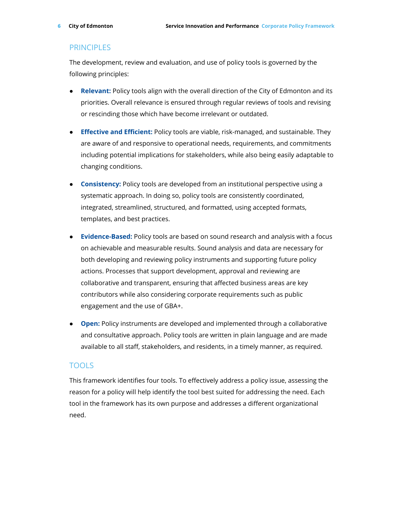#### <span id="page-5-0"></span>PRINCIPI **FS**

The development, review and evaluation, and use of policy tools is governed by the following principles:

- **Relevant:** Policy tools align with the overall direction of the City of Edmonton and its priorities. Overall relevance is ensured through regular reviews of tools and revising or rescinding those which have become irrelevant or outdated.
- **Effective and Efficient:** Policy tools are viable, risk-managed, and sustainable. They are aware of and responsive to operational needs, requirements, and commitments including potential implications for stakeholders, while also being easily adaptable to changing conditions.
- **Consistency:** Policy tools are developed from an institutional perspective using a systematic approach. In doing so, policy tools are consistently coordinated, integrated, streamlined, structured, and formatted, using accepted formats, templates, and best practices.
- **Evidence-Based:** Policy tools are based on sound research and analysis with a focus on achievable and measurable results. Sound analysis and data are necessary for both developing and reviewing policy instruments and supporting future policy actions. Processes that support development, approval and reviewing are collaborative and transparent, ensuring that affected business areas are key contributors while also considering corporate requirements such as public engagement and the use of GBA+.
- **Open:** Policy instruments are developed and implemented through a collaborative and consultative approach. Policy tools are written in plain language and are made available to all staff, stakeholders, and residents, in a timely manner, as required.

#### <span id="page-5-1"></span>TOOLS

This framework identifies four tools. To effectively address a policy issue, assessing the reason for a policy will help identify the tool best suited for addressing the need. Each tool in the framework has its own purpose and addresses a different organizational need.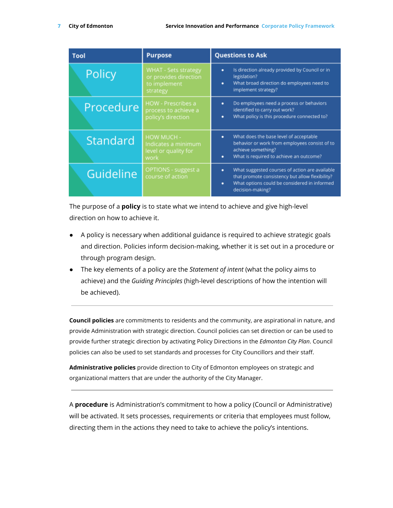| Tool      | <b>Purpose</b>                                                            | <b>Questions to Ask</b>                                                                                                                                                         |
|-----------|---------------------------------------------------------------------------|---------------------------------------------------------------------------------------------------------------------------------------------------------------------------------|
| Policy    | WHAT - Sets strategy<br>or provides direction<br>to implement<br>strategy | Is direction already provided by Council or in<br>٠<br>legislation?<br>What broad direction do employees need to<br>۰<br>implement strategy?                                    |
| Procedure | <b>HOW</b> - Prescribes a<br>process to achieve a<br>policy's direction   | Do employees need a process or behaviors<br>۰<br>identified to carry out work?<br>What policy is this procedure connected to?<br>۰                                              |
| Standard  | HOW MUCH -<br>Indicates a minimum<br>level or quality for<br>work         | What does the base level of acceptable<br>۰<br>behavior or work from employees consist of to<br>achieve something?<br>What is required to achieve an outcome?<br>٠              |
| Guideline | OPTIONS - suggest a<br>course of action                                   | What suggested courses of action are available<br>۰<br>that promote consistency but allow flexibility?<br>What options could be considered in informed<br>۰<br>decision-making? |

The purpose of a **policy** is to state what we intend to achieve and give high-level direction on how to achieve it.

- A policy is necessary when additional guidance is required to achieve strategic goals and direction. Policies inform decision-making, whether it is set out in a procedure or through program design.
- The key elements of a policy are the *Statement of intent* (what the policy aims to achieve) and the *Guiding Principles* (high-level descriptions of how the intention will be achieved).

**Council policies** are commitments to residents and the community, are aspirational in nature, and provide Administration with strategic direction. Council policies can set direction or can be used to provide further strategic direction by activating Policy Directions in the *Edmonton City Plan*. Council policies can also be used to set standards and processes for City Councillors and their staff.

**Administrative policies** provide direction to City of Edmonton employees on strategic and organizational matters that are under the authority of the City Manager.

A **procedure** is Administration's commitment to how a policy (Council or Administrative) will be activated. It sets processes, requirements or criteria that employees must follow, directing them in the actions they need to take to achieve the policy's intentions.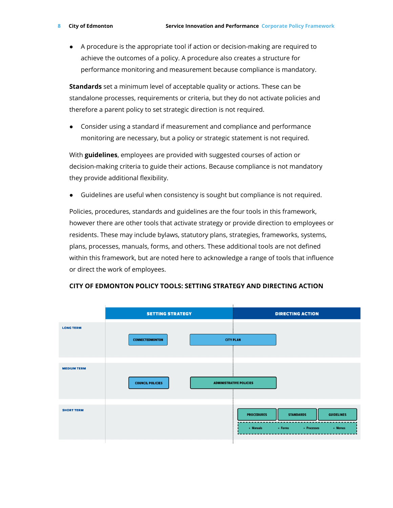● A procedure is the appropriate tool if action or decision-making are required to achieve the outcomes of a policy. A procedure also creates a structure for performance monitoring and measurement because compliance is mandatory.

**Standards** set a minimum level of acceptable quality or actions. These can be standalone processes, requirements or criteria, but they do not activate policies and therefore a parent policy to set strategic direction is not required.

● Consider using a standard if measurement and compliance and performance monitoring are necessary, but a policy or strategic statement is not required.

With **guidelines**, employees are provided with suggested courses of action or decision-making criteria to guide their actions. Because compliance is not mandatory they provide additional flexibility.

● Guidelines are useful when consistency is sought but compliance is not required.

Policies, procedures, standards and guidelines are the four tools in this framework, however there are other tools that activate strategy or provide direction to employees or residents. These may include bylaws, statutory plans, strategies, frameworks, systems, plans, processes, manuals, forms, and others. These additional tools are not defined within this framework, but are noted here to acknowledge a range of tools that influence or direct the work of employees.



#### <span id="page-7-0"></span>**CITY OF EDMONTON POLICY TOOLS: SETTING STRATEGY AND DIRECTING ACTION**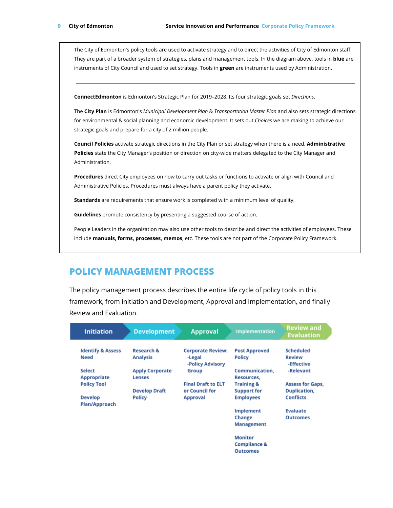The City of Edmonton's policy tools are used to activate strategy and to direct the activities of City of Edmonton staff. They are part of a broader system of strategies, plans and management tools. In the diagram above, tools in **blue** are instruments of City Council and used to set strategy. Tools in **green** are instruments used by Administration.

**ConnectEdmonton** is Edmonton's Strategic Plan for 2019–2028. Its four strategic goals set *Directions*.

The **City Plan** is Edmonton's *Municipal Development Plan* & *Transportation Master Plan* and also sets strategic directions for environmental & social planning and economic development. It sets out *Choices* we are making to achieve our strategic goals and prepare for a city of 2 million people.

**Council Policies** activate strategic directions in the City Plan or set strategy when there is a need. **Administrative Policies** state the City Manager's position or direction on city-wide matters delegated to the City Manager and Administration.

**Procedures** direct City employees on how to carry out tasks or functions to activate or align with Council and Administrative Policies. Procedures must always have a parent policy they activate.

**Standards** are requirements that ensure work is completed with a minimum level of quality.

**Guidelines** promote consistency by presenting a suggested course of action.

People Leaders in the organization may also use other tools to describe and direct the activities of employees. These include **manuals, forms, processes, memos**, etc. These tools are not part of the Corporate Policy Framework.

## <span id="page-8-0"></span>**POLICY MANAGEMENT PROCESS**

The policy management process describes the entire life cycle of policy tools in this framework, from Initiation and Development, Approval and Implementation, and finally Review and Evaluation.

| <b>Initiation</b>               | <b>Development</b>                      | <b>Approval</b>            | <b>Implementation</b>        | <b>Review and</b><br><b>Evaluation</b> |  |
|---------------------------------|-----------------------------------------|----------------------------|------------------------------|----------------------------------------|--|
| <b>Identify &amp; Assess</b>    | <b>Research &amp;</b>                   | <b>Corporate Review:</b>   | <b>Post Approved</b>         | Scheduled                              |  |
| <b>Need</b>                     | <b>Analysis</b>                         | -Legal<br>-Policy Advisory | <b>Policy</b>                | <b>Review</b><br>-Effective            |  |
| Select<br>Appropriate           | <b>Apply Corporate</b><br><b>Lenses</b> | Group                      | Communication.<br>Resources. | -Relevant                              |  |
| <b>Policy Tool</b>              |                                         | <b>Final Draft to ELT</b>  | <b>Training &amp;</b>        | <b>Assess for Gaps,</b>                |  |
|                                 | <b>Develop Draft</b>                    | or Council for             | <b>Support for</b>           | <b>Duplication,</b>                    |  |
| <b>Develop</b><br>Plan/Approach | <b>Policy</b>                           | <b>Approval</b>            | <b>Employees</b>             | <b>Conflicts</b>                       |  |
|                                 |                                         |                            | Implement                    | <b>Evaluate</b>                        |  |
|                                 |                                         |                            | Change                       | <b>Outcomes</b>                        |  |
|                                 |                                         |                            | Management                   |                                        |  |
|                                 |                                         |                            | <b>Monitor</b>               |                                        |  |
|                                 |                                         |                            | <b>Compliance &amp;</b>      |                                        |  |
|                                 |                                         |                            | <b>Outcomes</b>              |                                        |  |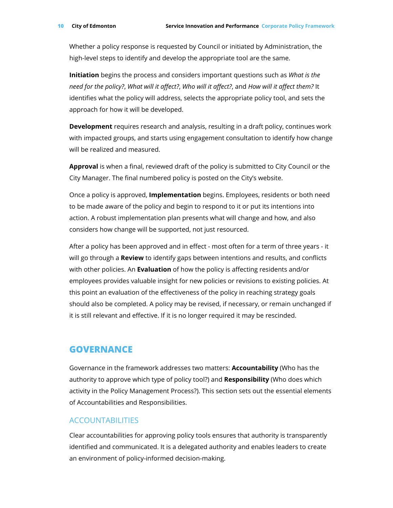Whether a policy response is requested by Council or initiated by Administration, the high-level steps to identify and develop the appropriate tool are the same.

**Initiation** begins the process and considers important questions such as *What is the need for the policy?*, *What will it affect?*, *Who will it affect?*, and *How will it affect them?* It identifies what the policy will address, selects the appropriate policy tool, and sets the approach for how it will be developed.

**Development** requires research and analysis, resulting in a draft policy, continues work with impacted groups, and starts using engagement consultation to identify how change will be realized and measured.

**Approval** is when a final, reviewed draft of the policy is submitted to City Council or the City Manager. The final numbered policy is posted on the City's website.

Once a policy is approved, **Implementation** begins. Employees, residents or both need to be made aware of the policy and begin to respond to it or put its intentions into action. A robust implementation plan presents what will change and how, and also considers how change will be supported, not just resourced.

After a policy has been approved and in effect - most often for a term of three years - it will go through a **Review** to identify gaps between intentions and results, and conflicts with other policies. An **Evaluation** of how the policy is affecting residents and/or employees provides valuable insight for new policies or revisions to existing policies. At this point an evaluation of the effectiveness of the policy in reaching strategy goals should also be completed. A policy may be revised, if necessary, or remain unchanged if it is still relevant and effective. If it is no longer required it may be rescinded.

#### <span id="page-9-0"></span>**GOVERNANCE**

Governance in the framework addresses two matters: **Accountability** (Who has the authority to approve which type of policy tool?) and **Responsibility** (Who does which activity in the Policy Management Process?). This section sets out the essential elements of Accountabilities and Responsibilities.

#### <span id="page-9-1"></span>ACCOUNTABILITIES

Clear accountabilities for approving policy tools ensures that authority is transparently identified and communicated. It is a delegated authority and enables leaders to create an environment of policy-informed decision-making.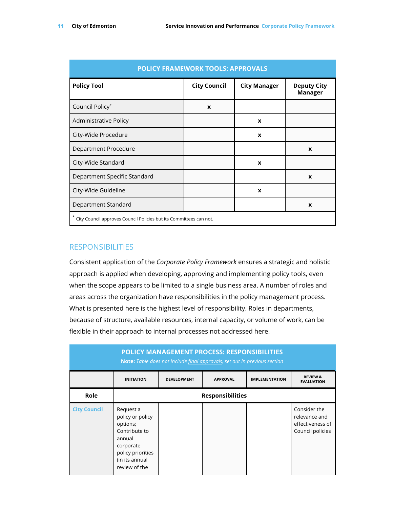| <b>POLICY FRAMEWORK TOOLS: APPROVALS</b>                           |                     |                     |                               |  |
|--------------------------------------------------------------------|---------------------|---------------------|-------------------------------|--|
| <b>Policy Tool</b>                                                 | <b>City Council</b> | <b>City Manager</b> | <b>Deputy City</b><br>Manager |  |
| Council Policy*                                                    | X                   |                     |                               |  |
| Administrative Policy                                              |                     | X                   |                               |  |
| City-Wide Procedure                                                |                     | X                   |                               |  |
| Department Procedure                                               |                     |                     | $\mathbf x$                   |  |
| City-Wide Standard                                                 |                     | X                   |                               |  |
| Department Specific Standard                                       |                     |                     | $\boldsymbol{x}$              |  |
| City-Wide Guideline                                                |                     | X                   |                               |  |
| Department Standard                                                |                     |                     | X                             |  |
| City Council approves Council Policies but its Committees can not. |                     |                     |                               |  |

#### <span id="page-10-0"></span>**RESPONSIBILITIES**

Consistent application of the *Corporate Policy Framework* ensures a strategic and holistic approach is applied when developing, approving and implementing policy tools, even when the scope appears to be limited to a single business area. A number of roles and areas across the organization have responsibilities in the policy management process. What is presented here is the highest level of responsibility. Roles in departments, because of structure, available resources, internal capacity, or volume of work, can be flexible in their approach to internal processes not addressed here.

|                     |                                                                                                                                           |                    | <b>POLICY MANAGEMENT PROCESS: RESPONSIBILITIES</b><br><b>Note:</b> Table does not include final approvals, set out in previous section |                       |                                                                       |
|---------------------|-------------------------------------------------------------------------------------------------------------------------------------------|--------------------|----------------------------------------------------------------------------------------------------------------------------------------|-----------------------|-----------------------------------------------------------------------|
|                     | <b>INITIATION</b>                                                                                                                         | <b>DEVELOPMENT</b> | <b>APPROVAL</b>                                                                                                                        | <b>IMPLEMENTATION</b> | <b>REVIEW &amp;</b><br><b>EVALUATION</b>                              |
| Role                |                                                                                                                                           |                    | <b>Responsibilities</b>                                                                                                                |                       |                                                                       |
| <b>City Council</b> | Request a<br>policy or policy<br>options;<br>Contribute to<br>annual<br>corporate<br>policy priorities<br>(in its annual<br>review of the |                    |                                                                                                                                        |                       | Consider the<br>relevance and<br>effectiveness of<br>Council policies |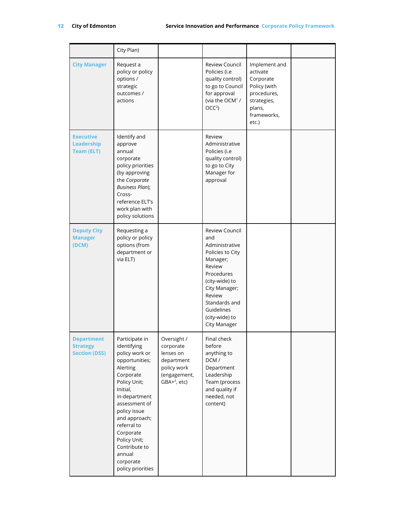|                                                              | City Plan)                                                                                                                                                                                                                                                                                         |                                                                                                      |                                                                                                                                                                                                                      |                                                                                                                        |  |
|--------------------------------------------------------------|----------------------------------------------------------------------------------------------------------------------------------------------------------------------------------------------------------------------------------------------------------------------------------------------------|------------------------------------------------------------------------------------------------------|----------------------------------------------------------------------------------------------------------------------------------------------------------------------------------------------------------------------|------------------------------------------------------------------------------------------------------------------------|--|
| <b>City Manager</b>                                          | Request a<br>policy or policy<br>options /<br>strategic<br>outcomes /<br>actions                                                                                                                                                                                                                   |                                                                                                      | Review Council<br>Policies (i.e<br>quality control)<br>to go to Council<br>for approval<br>(via the OCM <sup>1</sup> /<br>OCC <sup>2</sup>                                                                           | Implement and<br>activate<br>Corporate<br>Policy (with<br>procedures,<br>strategies,<br>plans,<br>frameworks,<br>etc.) |  |
| <b>Executive</b><br>Leadership<br><b>Team (ELT)</b>          | Identify and<br>approve<br>annual<br>corporate<br>policy priorities<br>(by approving<br>the Corporate<br><b>Business Plan);</b><br>Cross-<br>reference ELT's<br>work plan with<br>policy solutions                                                                                                 |                                                                                                      | Review<br>Administrative<br>Policies (i.e<br>quality control)<br>to go to City<br>Manager for<br>approval                                                                                                            |                                                                                                                        |  |
| <b>Deputy City</b><br><b>Manager</b><br>(DCM)                | Requesting a<br>policy or policy<br>options (from<br>department or<br>via ELT)                                                                                                                                                                                                                     |                                                                                                      | Review Council<br>and<br>Administrative<br>Policies to City<br>Manager;<br>Review<br>Procedures<br>(city-wide) to<br>City Manager;<br>Review<br>Standards and<br>Guidelines<br>(city-wide) to<br><b>City Manager</b> |                                                                                                                        |  |
| <b>Department</b><br><b>Strategy</b><br><b>Section (DSS)</b> | Participate in<br>identifying<br>policy work or<br>opportunities;<br>Alerting<br>Corporate<br>Policy Unit;<br>Initial,<br>in-department<br>assessment of<br>policy issue<br>and approach;<br>referral to<br>Corporate<br>Policy Unit;<br>Contribute to<br>annual<br>corporate<br>policy priorities | Oversight /<br>corporate<br>lenses on<br>department<br>policy work<br>(engagement,<br>$GBA+3$ , etc) | Final check<br>before<br>anything to<br>DCM/<br>Department<br>Leadership<br>Team (process<br>and quality if<br>needed, not<br>content)                                                                               |                                                                                                                        |  |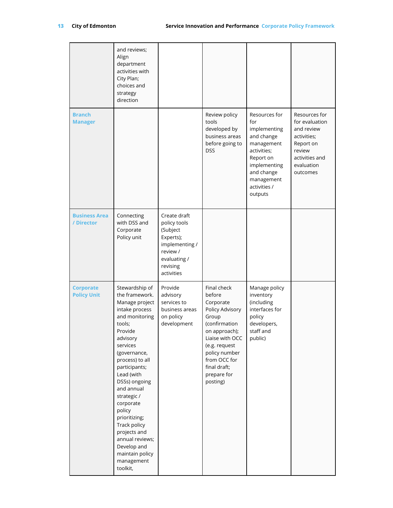|                                        | and reviews;<br>Align<br>department<br>activities with<br>City Plan;<br>choices and<br>strategy<br>direction                                                                                                                                                                                                                                                                                               |                                                                                                                               |                                                                                                                                                                                                                  |                                                                                                                                                                     |                                                                                                                                 |
|----------------------------------------|------------------------------------------------------------------------------------------------------------------------------------------------------------------------------------------------------------------------------------------------------------------------------------------------------------------------------------------------------------------------------------------------------------|-------------------------------------------------------------------------------------------------------------------------------|------------------------------------------------------------------------------------------------------------------------------------------------------------------------------------------------------------------|---------------------------------------------------------------------------------------------------------------------------------------------------------------------|---------------------------------------------------------------------------------------------------------------------------------|
| <b>Branch</b><br><b>Manager</b>        |                                                                                                                                                                                                                                                                                                                                                                                                            |                                                                                                                               | Review policy<br>tools<br>developed by<br>business areas<br>before going to<br><b>DSS</b>                                                                                                                        | Resources for<br>for<br>implementing<br>and change<br>management<br>activities;<br>Report on<br>implementing<br>and change<br>management<br>activities /<br>outputs | Resources for<br>for evaluation<br>and review<br>activities;<br>Report on<br>review<br>activities and<br>evaluation<br>outcomes |
| <b>Business Area</b><br>/ Director     | Connecting<br>with DSS and<br>Corporate<br>Policy unit                                                                                                                                                                                                                                                                                                                                                     | Create draft<br>policy tools<br>(Subject<br>Experts);<br>implementing /<br>review /<br>evaluating /<br>revising<br>activities |                                                                                                                                                                                                                  |                                                                                                                                                                     |                                                                                                                                 |
| <b>Corporate</b><br><b>Policy Unit</b> | Stewardship of<br>the framework.<br>Manage project<br>intake process<br>and monitoring<br>tools;<br>Provide<br>advisory<br>services<br>(governance,<br>process) to all<br>participants;<br>Lead (with<br>DSSs) ongoing<br>and annual<br>strategic /<br>corporate<br>policy<br>prioritizing;<br>Track policy<br>projects and<br>annual reviews;<br>Develop and<br>maintain policy<br>management<br>toolkit, | Provide<br>advisory<br>services to<br>business areas<br>on policy<br>development                                              | Final check<br>before<br>Corporate<br>Policy Advisory<br>Group<br>(confirmation<br>on approach);<br>Liaise with OCC<br>(e.g. request<br>policy number<br>from OCC for<br>final draft;<br>prepare for<br>posting) | Manage policy<br>inventory<br>(including<br>interfaces for<br>policy<br>developers,<br>staff and<br>public)                                                         |                                                                                                                                 |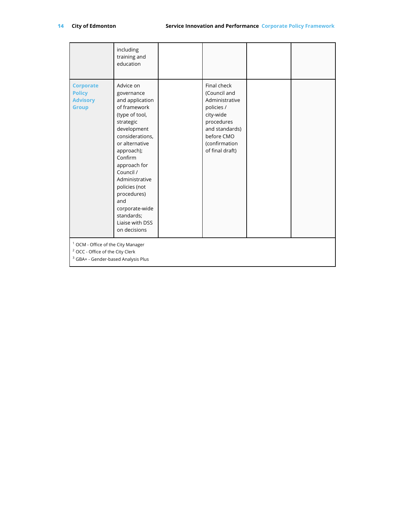|                                                                                                                                                | including<br>training and<br>education                                                                                                                                                                                                                                                                                          |  |                                                                                                                                                            |  |
|------------------------------------------------------------------------------------------------------------------------------------------------|---------------------------------------------------------------------------------------------------------------------------------------------------------------------------------------------------------------------------------------------------------------------------------------------------------------------------------|--|------------------------------------------------------------------------------------------------------------------------------------------------------------|--|
| <b>Corporate</b><br><b>Policy</b><br><b>Advisory</b><br><b>Group</b>                                                                           | Advice on<br>governance<br>and application<br>of framework<br>(type of tool,<br>strategic<br>development<br>considerations,<br>or alternative<br>approach);<br>Confirm<br>approach for<br>Council /<br>Administrative<br>policies (not<br>procedures)<br>and<br>corporate-wide<br>standards;<br>Liaise with DSS<br>on decisions |  | Final check<br>(Council and<br>Administrative<br>policies /<br>city-wide<br>procedures<br>and standards)<br>before CMO<br>(confirmation<br>of final draft) |  |
| <sup>1</sup> OCM - Office of the City Manager<br><sup>2</sup> OCC - Office of the City Clerk<br><sup>3</sup> GBA+ - Gender-based Analysis Plus |                                                                                                                                                                                                                                                                                                                                 |  |                                                                                                                                                            |  |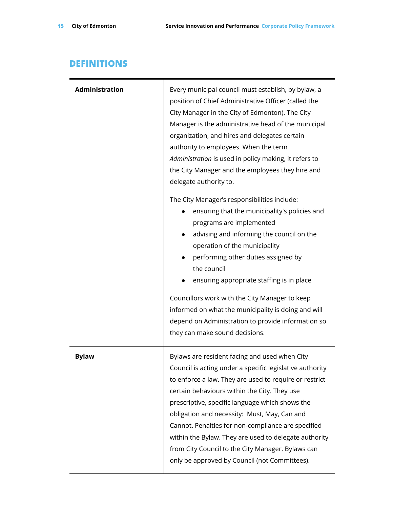# <span id="page-14-0"></span>**DEFINITIONS**

| <b>Administration</b> | Every municipal council must establish, by bylaw, a<br>position of Chief Administrative Officer (called the<br>City Manager in the City of Edmonton). The City<br>Manager is the administrative head of the municipal<br>organization, and hires and delegates certain<br>authority to employees. When the term<br>Administration is used in policy making, it refers to<br>the City Manager and the employees they hire and<br>delegate authority to.<br>The City Manager's responsibilities include:<br>ensuring that the municipality's policies and<br>programs are implemented<br>advising and informing the council on the<br>$\bullet$<br>operation of the municipality<br>performing other duties assigned by<br>$\bullet$<br>the council<br>ensuring appropriate staffing is in place<br>Councillors work with the City Manager to keep<br>informed on what the municipality is doing and will<br>depend on Administration to provide information so |
|-----------------------|---------------------------------------------------------------------------------------------------------------------------------------------------------------------------------------------------------------------------------------------------------------------------------------------------------------------------------------------------------------------------------------------------------------------------------------------------------------------------------------------------------------------------------------------------------------------------------------------------------------------------------------------------------------------------------------------------------------------------------------------------------------------------------------------------------------------------------------------------------------------------------------------------------------------------------------------------------------|
|                       | they can make sound decisions.                                                                                                                                                                                                                                                                                                                                                                                                                                                                                                                                                                                                                                                                                                                                                                                                                                                                                                                                |
| <b>Bylaw</b>          | Bylaws are resident facing and used when City<br>Council is acting under a specific legislative authority<br>to enforce a law. They are used to require or restrict<br>certain behaviours within the City. They use<br>prescriptive, specific language which shows the<br>obligation and necessity: Must, May, Can and<br>Cannot. Penalties for non-compliance are specified<br>within the Bylaw. They are used to delegate authority<br>from City Council to the City Manager. Bylaws can<br>only be approved by Council (not Committees).                                                                                                                                                                                                                                                                                                                                                                                                                   |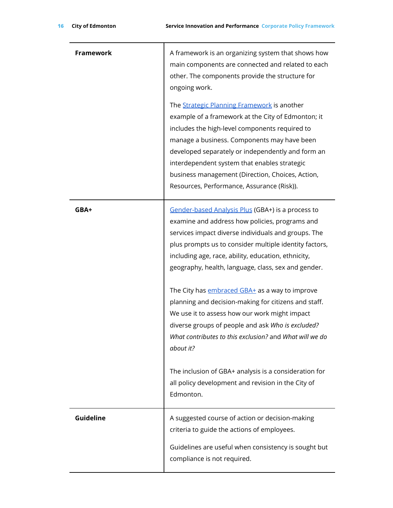| <b>Framework</b> | A framework is an organizing system that shows how<br>main components are connected and related to each<br>other. The components provide the structure for<br>ongoing work.                                                                                                                                                                                                                               |
|------------------|-----------------------------------------------------------------------------------------------------------------------------------------------------------------------------------------------------------------------------------------------------------------------------------------------------------------------------------------------------------------------------------------------------------|
|                  | The Strategic Planning Framework is another<br>example of a framework at the City of Edmonton; it<br>includes the high-level components required to<br>manage a business. Components may have been<br>developed separately or independently and form an<br>interdependent system that enables strategic<br>business management (Direction, Choices, Action,<br>Resources, Performance, Assurance (Risk)). |
| GBA+             | Gender-based Analysis Plus (GBA+) is a process to<br>examine and address how policies, programs and<br>services impact diverse individuals and groups. The<br>plus prompts us to consider multiple identity factors,<br>including age, race, ability, education, ethnicity,<br>geography, health, language, class, sex and gender.                                                                        |
|                  | The City has <i>embraced GBA+</i> as a way to improve<br>planning and decision-making for citizens and staff.<br>We use it to assess how our work might impact<br>diverse groups of people and ask Who is excluded?<br>What contributes to this exclusion? and What will we do<br>about it?                                                                                                               |
|                  | The inclusion of GBA+ analysis is a consideration for<br>all policy development and revision in the City of<br>Edmonton.                                                                                                                                                                                                                                                                                  |
| Guideline        | A suggested course of action or decision-making<br>criteria to guide the actions of employees.                                                                                                                                                                                                                                                                                                            |
|                  | Guidelines are useful when consistency is sought but<br>compliance is not required.                                                                                                                                                                                                                                                                                                                       |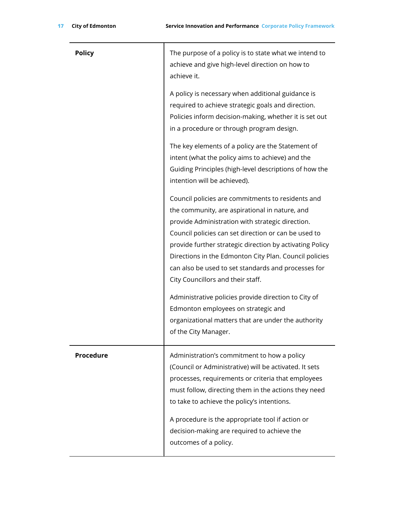| <b>Policy</b>    | The purpose of a policy is to state what we intend to<br>achieve and give high-level direction on how to<br>achieve it.                                                                                                                                                                                                                                                                                                                                                                                                                                                                                         |
|------------------|-----------------------------------------------------------------------------------------------------------------------------------------------------------------------------------------------------------------------------------------------------------------------------------------------------------------------------------------------------------------------------------------------------------------------------------------------------------------------------------------------------------------------------------------------------------------------------------------------------------------|
|                  | A policy is necessary when additional guidance is<br>required to achieve strategic goals and direction.<br>Policies inform decision-making, whether it is set out<br>in a procedure or through program design.                                                                                                                                                                                                                                                                                                                                                                                                  |
|                  | The key elements of a policy are the Statement of<br>intent (what the policy aims to achieve) and the<br>Guiding Principles (high-level descriptions of how the<br>intention will be achieved).                                                                                                                                                                                                                                                                                                                                                                                                                 |
|                  | Council policies are commitments to residents and<br>the community, are aspirational in nature, and<br>provide Administration with strategic direction.<br>Council policies can set direction or can be used to<br>provide further strategic direction by activating Policy<br>Directions in the Edmonton City Plan. Council policies<br>can also be used to set standards and processes for<br>City Councillors and their staff.<br>Administrative policies provide direction to City of<br>Edmonton employees on strategic and<br>organizational matters that are under the authority<br>of the City Manager. |
| <b>Procedure</b> | Administration's commitment to how a policy<br>(Council or Administrative) will be activated. It sets<br>processes, requirements or criteria that employees<br>must follow, directing them in the actions they need<br>to take to achieve the policy's intentions.<br>A procedure is the appropriate tool if action or<br>decision-making are required to achieve the<br>outcomes of a policy.                                                                                                                                                                                                                  |